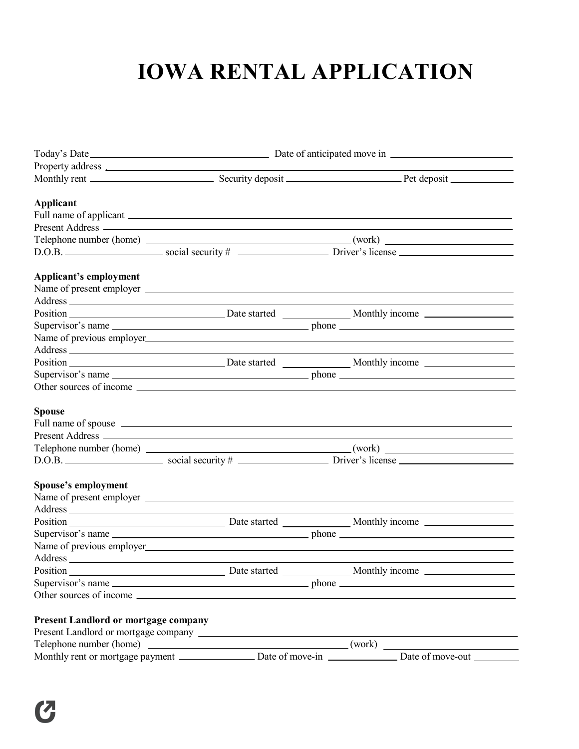## **IOWA RENTAL APPLICATION**

|                                      | Property address 2000 and 2000 and 2000 and 2000 and 2000 and 2000 and 2000 and 2000 and 2000 and 2000 and 200 |                                                                                         |  |  |
|--------------------------------------|----------------------------------------------------------------------------------------------------------------|-----------------------------------------------------------------------------------------|--|--|
|                                      |                                                                                                                |                                                                                         |  |  |
| <b>Applicant</b>                     |                                                                                                                |                                                                                         |  |  |
|                                      |                                                                                                                |                                                                                         |  |  |
|                                      |                                                                                                                |                                                                                         |  |  |
|                                      |                                                                                                                |                                                                                         |  |  |
|                                      |                                                                                                                | $D.O.B.$ $Social security #$ $Dirors license$ $Direrslice$                              |  |  |
| Applicant's employment               |                                                                                                                |                                                                                         |  |  |
|                                      |                                                                                                                |                                                                                         |  |  |
|                                      |                                                                                                                |                                                                                         |  |  |
|                                      |                                                                                                                |                                                                                         |  |  |
|                                      |                                                                                                                | Supervisor's name                                                                       |  |  |
|                                      |                                                                                                                |                                                                                         |  |  |
|                                      |                                                                                                                | <u> 1989 - Johann Barn, amerikansk politiker (d. 1989)</u>                              |  |  |
|                                      |                                                                                                                |                                                                                         |  |  |
|                                      |                                                                                                                | Supervisor's name                                                                       |  |  |
|                                      |                                                                                                                |                                                                                         |  |  |
| <b>Spouse</b>                        |                                                                                                                |                                                                                         |  |  |
|                                      |                                                                                                                | Full name of spouse <u>example and the set of spouse</u> and the set of spouse example. |  |  |
|                                      |                                                                                                                |                                                                                         |  |  |
|                                      |                                                                                                                |                                                                                         |  |  |
|                                      |                                                                                                                | $D.O.B.$ Social security $\#$ Driver's license                                          |  |  |
| Spouse's employment                  |                                                                                                                |                                                                                         |  |  |
|                                      |                                                                                                                |                                                                                         |  |  |
|                                      |                                                                                                                |                                                                                         |  |  |
|                                      |                                                                                                                |                                                                                         |  |  |
|                                      |                                                                                                                | Supervisor's name                                                                       |  |  |
|                                      |                                                                                                                |                                                                                         |  |  |
|                                      |                                                                                                                |                                                                                         |  |  |
|                                      |                                                                                                                |                                                                                         |  |  |
|                                      |                                                                                                                | Supervisor's name                                                                       |  |  |
|                                      |                                                                                                                |                                                                                         |  |  |
| Present Landlord or mortgage company |                                                                                                                |                                                                                         |  |  |
|                                      |                                                                                                                |                                                                                         |  |  |
|                                      |                                                                                                                |                                                                                         |  |  |
|                                      |                                                                                                                |                                                                                         |  |  |